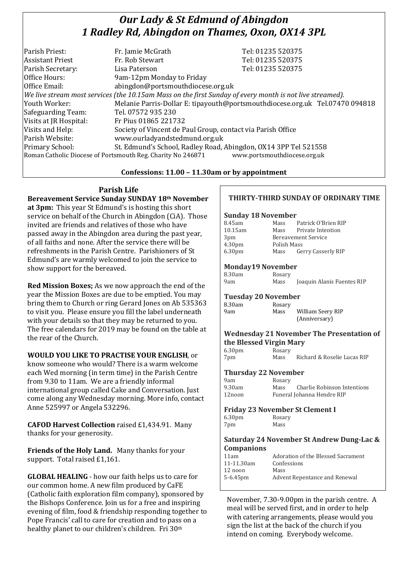# *Our Lady & St Edmund of Abingdon 1 Radley Rd, Abingdon on Thames, Oxon, OX14 3PL*

| Parish Priest:          | Fr. Jamie McGrath                                                                                        | Tel: 01235 520375                                                            |
|-------------------------|----------------------------------------------------------------------------------------------------------|------------------------------------------------------------------------------|
| <b>Assistant Priest</b> | Fr. Rob Stewart                                                                                          | Tel: 01235 520375                                                            |
| Parish Secretary:       | Lisa Paterson                                                                                            | Tel: 01235 520375                                                            |
| Office Hours:           | 9am-12pm Monday to Friday                                                                                |                                                                              |
| Office Email:           | abingdon@portsmouthdiocese.org.uk                                                                        |                                                                              |
|                         | We live stream most services (the 10.15am Mass on the first Sunday of every month is not live streamed). |                                                                              |
| Youth Worker:           |                                                                                                          | Melanie Parris-Dollar E: tipayouth@portsmouthdiocese.org.uk Tel.07470 094818 |
| Safeguarding Team:      | Tel. 07572 935 230                                                                                       |                                                                              |
| Visits at JR Hospital:  | Fr Pius 01865 221732                                                                                     |                                                                              |
| Visits and Help:        | Society of Vincent de Paul Group, contact via Parish Office                                              |                                                                              |
| Parish Website:         | www.ourladyandstedmund.org.uk                                                                            |                                                                              |
| Primary School:         | St. Edmund's School, Radley Road, Abingdon, OX14 3PP Tel 521558                                          |                                                                              |
|                         | Roman Catholic Diocese of Portsmouth Reg. Charity No 246871                                              | www.portsmouthdiocese.org.uk                                                 |
|                         |                                                                                                          |                                                                              |

## **Confessions: 11.00 – 11.30am or by appointment**

# **Parish Life**

**Bereavement Service Sunday SUNDAY 18th November at 3pm:** This year St Edmund's is hosting this short service on behalf of the Church in Abingdon (CiA). Those invited are friends and relatives of those who have passed away in the Abingdon area during the past year, of all faiths and none. After the service there will be refreshments in the Parish Centre. Parishioners of St Edmund's are warmly welcomed to join the service to show support for the bereaved.

**Red Mission Boxes;** As we now approach the end of the year the Mission Boxes are due to be emptied. You may bring them to Church or ring Gerard Jones on Ab 535363 to visit you. Please ensure you fill the label underneath with your details so that they may be returned to you. The free calendars for 2019 may be found on the table at the rear of the Church.

# **WOULD YOU LIKE TO PRACTISE YOUR ENGLISH**, or

know someone who would? There is a warm welcome each Wed morning (in term time) in the Parish Centre from 9.30 to 11am. We are a friendly informal international group called Cake and Conversation. Just come along any Wednesday morning. More info, contact Anne 525997 or Angela 532296.

**CAFOD Harvest Collection** raised £1,434.91. Many thanks for your generosity.

**Friends of the Holy Land.** Many thanks for your support. Total raised £1,161.

**GLOBAL HEALING** - how our faith helps us to care for our common home. A new film produced by CaFE (Catholic faith exploration film company), sponsored by the Bishops Conference. Join us for a free and inspiring evening of film, food & friendship responding together to Pope Francis' call to care for creation and to pass on a healthy planet to our children's children. Fri 30th

## **THIRTY-THIRD SUNDAY OF ORDINARY TIME**

#### **Sunday 18 November**

| 8.45am             | Mass        | Patrick O'Brien RIP        |
|--------------------|-------------|----------------------------|
| 10.15am            | Mass        | Private Intention          |
| 3 <sub>pm</sub>    |             | <b>Bereavement Service</b> |
| 4.30 <sub>pm</sub> | Polish Mass |                            |
| 6.30 <sub>pm</sub> | Mass        | Gerry Casserly RIP         |

#### **Monday19 November**

| 8.30am | Rosary |                            |
|--------|--------|----------------------------|
| 9am    | Mass   | Joaquin Alanis Fuentes RIP |

#### **Tuesday 20 November**

| 8.30am | Rosary |                   |
|--------|--------|-------------------|
| 9am    | Mass   | William Seery RIP |
|        |        | (Anniversary)     |

#### **Wednesday 21 November The Presentation of the Blessed Virgin Mary**

| 6.30 <sub>pm</sub> | Rosary |                             |
|--------------------|--------|-----------------------------|
| 7pm                | Mass   | Richard & Roselie Lucas RIP |

## **Thursday 22 November**

| Rosary |                             |
|--------|-----------------------------|
| Mass   | Charlie Robinson Intentions |
|        | Funeral Johanna Hendre RIP  |
|        |                             |

#### **Friday 23 November St Clement I**

6.30pm Rosary 7pm Mass

#### **Saturday 24 November St Andrew Dung-Lac & Companions**

| 11am        | Adoration of the Blessed Sacrament |
|-------------|------------------------------------|
| 11-11.30am  | Confessions                        |
| $12$ noon   | Mass                               |
| $5-6.45$ pm | Advent Repentance and Renewal      |
|             |                                    |

November, 7.30-9.00pm in the parish centre. A meal will be served first, and in order to help with catering arrangements, please would you sign the list at the back of the church if you intend on coming. Everybody welcome.